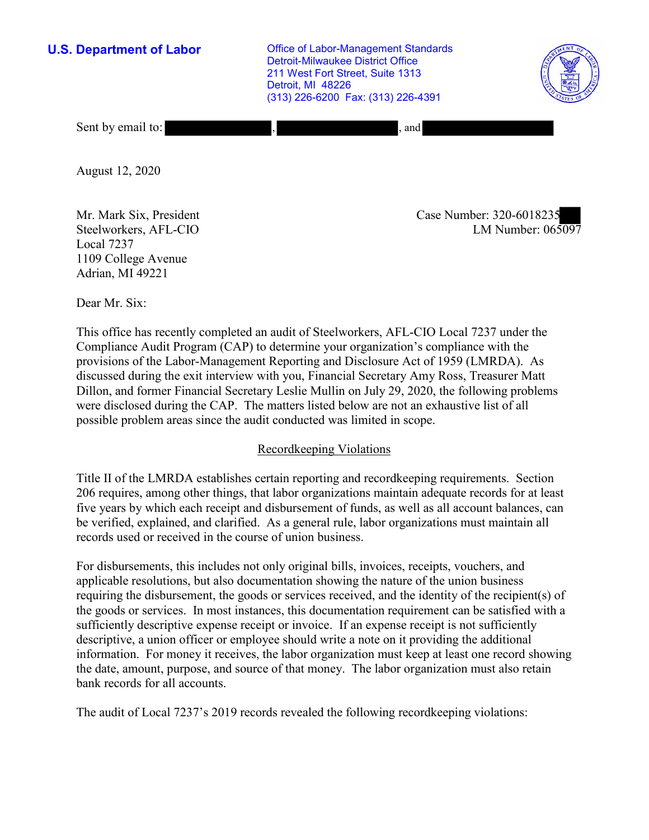**U.S. Department of Labor Conservative Conservative Conservative Conservative U.S.** Department of Labor Detroit-Milwaukee District Office 211 West Fort Street, Suite 1313 Detroit, MI 48226 (313) 226-6200 Fax: (313) 226-4391



Sent by email to: , , , , and , , and , , and , and , and , and , and , and , and , and , and , and , and , and , and , and , and , and , and , and , and , and , and , and , and , and , and , and , and , and , and , and ,

August 12, 2020

Steelworkers, AFL-CIO Local 7237 1109 College Avenue Adrian, MI 49221

LM Number:  $065097$ Mr. Mark Six, President Case Number: 320-6018235

Dear Mr. Six:

 This office has recently completed an audit of Steelworkers, AFL-CIO Local 7237 under the Compliance Audit Program (CAP) to determine your organization's compliance with the provisions of the Labor-Management Reporting and Disclosure Act of 1959 (LMRDA). As discussed during the exit interview with you, Financial Secretary Amy Ross, Treasurer Matt Dillon, and former Financial Secretary Leslie Mullin on July 29, 2020, the following problems were disclosed during the CAP. The matters listed below are not an exhaustive list of all possible problem areas since the audit conducted was limited in scope.

# Recordkeeping Violations

 Title II of the LMRDA establishes certain reporting and recordkeeping requirements. Section 206 requires, among other things, that labor organizations maintain adequate records for at least five years by which each receipt and disbursement of funds, as well as all account balances, can be verified, explained, and clarified. As a general rule, labor organizations must maintain all records used or received in the course of union business.

 sufficiently descriptive expense receipt or invoice. If an expense receipt is not sufficiently the date, amount, purpose, and source of that money. The labor organization must also retain For disbursements, this includes not only original bills, invoices, receipts, vouchers, and applicable resolutions, but also documentation showing the nature of the union business requiring the disbursement, the goods or services received, and the identity of the recipient(s) of the goods or services. In most instances, this documentation requirement can be satisfied with a descriptive, a union officer or employee should write a note on it providing the additional information. For money it receives, the labor organization must keep at least one record showing bank records for all accounts.

The audit of Local 7237's 2019 records revealed the following recordkeeping violations: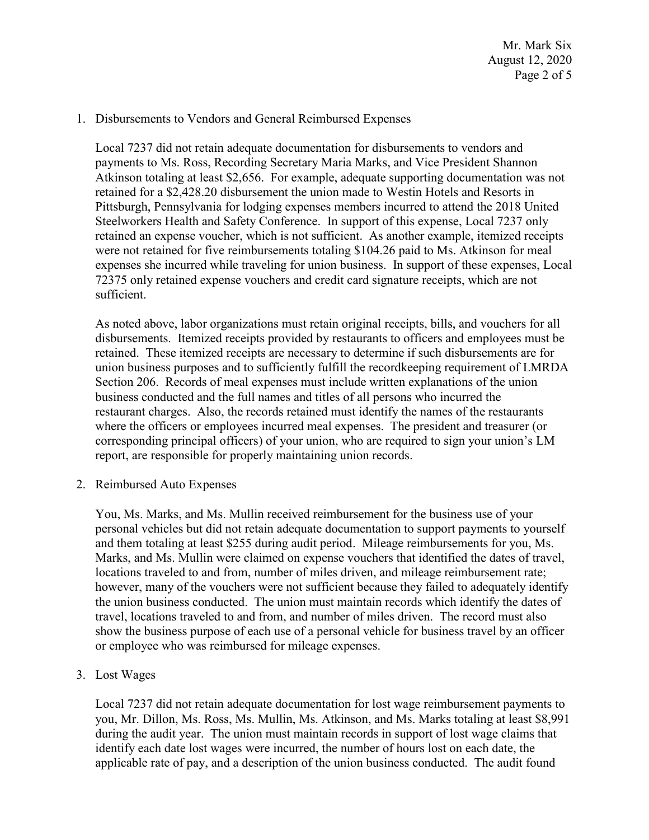#### 1. Disbursements to Vendors and General Reimbursed Expenses

 expenses she incurred while traveling for union business. In support of these expenses, Local Local 7237 did not retain adequate documentation for disbursements to vendors and payments to Ms. Ross, Recording Secretary Maria Marks, and Vice President Shannon Atkinson totaling at least \$2,656. For example, adequate supporting documentation was not retained for a \$[2,428.20](https://2,428.20) disbursement the union made to Westin Hotels and Resorts in Pittsburgh, Pennsylvania for lodging expenses members incurred to attend the 2018 United Steelworkers Health and Safety Conference. In support of this expense, Local 7237 only retained an expense voucher, which is not sufficient. As another example, itemized receipts were not retained for five reimbursements totaling \$104.26 paid to Ms. Atkinson for meal 72375 only retained expense vouchers and credit card signature receipts, which are not sufficient.

 retained. These itemized receipts are necessary to determine if such disbursements are for union business purposes and to sufficiently fulfill the recordkeeping requirement of LMRDA business conducted and the full names and titles of all persons who incurred the corresponding principal officers) of your union, who are required to sign your union's LM As noted above, labor organizations must retain original receipts, bills, and vouchers for all disbursements. Itemized receipts provided by restaurants to officers and employees must be Section 206. Records of meal expenses must include written explanations of the union restaurant charges. Also, the records retained must identify the names of the restaurants where the officers or employees incurred meal expenses. The president and treasurer (or report, are responsible for properly maintaining union records.

2. Reimbursed Auto Expenses

 You, Ms. Marks, and Ms. Mullin received reimbursement for the business use of your personal vehicles but did not retain adequate documentation to support payments to yourself and them totaling at least \$255 during audit period. Mileage reimbursements for you, Ms. Marks, and Ms. Mullin were claimed on expense vouchers that identified the dates of travel, locations traveled to and from, number of miles driven, and mileage reimbursement rate; however, many of the vouchers were not sufficient because they failed to adequately identify the union business conducted. The union must maintain records which identify the dates of travel, locations traveled to and from, and number of miles driven. The record must also show the business purpose of each use of a personal vehicle for business travel by an officer or employee who was reimbursed for mileage expenses.

3. Lost Wages

Local 7237 did not retain adequate documentation for lost wage reimbursement payments to you, Mr. Dillon, Ms. Ross, Ms. Mullin, Ms. Atkinson, and Ms. Marks totaling at least \$8,991 during the audit year. The union must maintain records in support of lost wage claims that identify each date lost wages were incurred, the number of hours lost on each date, the applicable rate of pay, and a description of the union business conducted. The audit found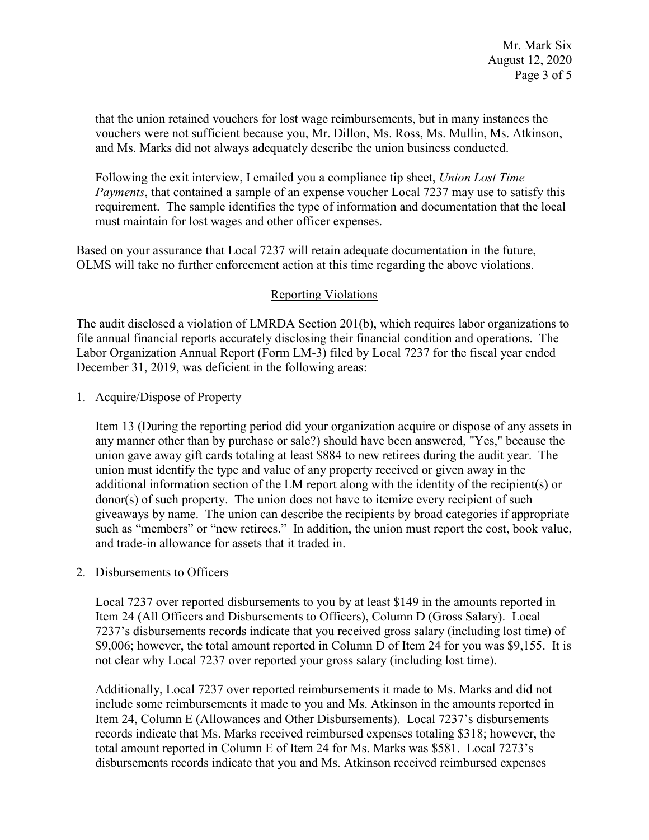that the union retained vouchers for lost wage reimbursements, but in many instances the vouchers were not sufficient because you, Mr. Dillon, Ms. Ross, Ms. Mullin, Ms. Atkinson, and Ms. Marks did not always adequately describe the union business conducted.

Following the exit interview, I emailed you a compliance tip sheet, *Union Lost Time Payments*, that contained a sample of an expense voucher Local 7237 may use to satisfy this requirement. The sample identifies the type of information and documentation that the local must maintain for lost wages and other officer expenses.

 Based on your assurance that Local 7237 will retain adequate documentation in the future, OLMS will take no further enforcement action at this time regarding the above violations.

## Reporting Violations

 Labor Organization Annual Report (Form LM-3) filed by Local 7237 for the fiscal year ended The audit disclosed a violation of LMRDA Section 201(b), which requires labor organizations to file annual financial reports accurately disclosing their financial condition and operations. The December 31, 2019, was deficient in the following areas:

1. Acquire/Dispose of Property

 union gave away gift cards totaling at least \$884 to new retirees during the audit year. The union must identify the type and value of any property received or given away in the additional information section of the LM report along with the identity of the recipient(s) or such as "members" or "new retirees." In addition, the union must report the cost, book value, Item 13 (During the reporting period did your organization acquire or dispose of any assets in any manner other than by purchase or sale?) should have been answered, "Yes," because the donor(s) of such property. The union does not have to itemize every recipient of such giveaways by name. The union can describe the recipients by broad categories if appropriate and trade-in allowance for assets that it traded in.

2. Disbursements to Officers

 7237's disbursements records indicate that you received gross salary (including lost time) of \$9,006; however, the total amount reported in Column D of Item 24 for you was \$9,155. It is Local 7237 over reported disbursements to you by at least \$149 in the amounts reported in Item 24 (All Officers and Disbursements to Officers), Column D (Gross Salary). Local not clear why Local 7237 over reported your gross salary (including lost time).

 total amount reported in Column E of Item 24 for Ms. Marks was \$581. Local 7273's Additionally, Local 7237 over reported reimbursements it made to Ms. Marks and did not include some reimbursements it made to you and Ms. Atkinson in the amounts reported in Item 24, Column E (Allowances and Other Disbursements). Local 7237's disbursements records indicate that Ms. Marks received reimbursed expenses totaling \$318; however, the disbursements records indicate that you and Ms. Atkinson received reimbursed expenses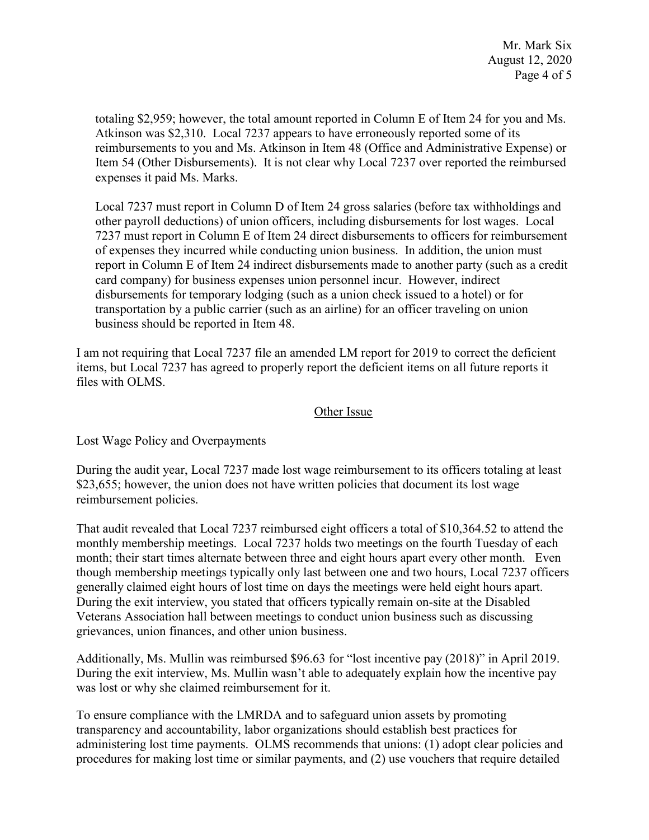totaling \$2,959; however, the total amount reported in Column E of Item 24 for you and Ms. Atkinson was \$2,310. Local 7237 appears to have erroneously reported some of its reimbursements to you and Ms. Atkinson in Item 48 (Office and Administrative Expense) or Item 54 (Other Disbursements). It is not clear why Local 7237 over reported the reimbursed expenses it paid Ms. Marks.

 report in Column E of Item 24 indirect disbursements made to another party (such as a credit disbursements for temporary lodging (such as a union check issued to a hotel) or for transportation by a public carrier (such as an airline) for an officer traveling on union Local 7237 must report in Column D of Item 24 gross salaries (before tax withholdings and other payroll deductions) of union officers, including disbursements for lost wages. Local 7237 must report in Column E of Item 24 direct disbursements to officers for reimbursement of expenses they incurred while conducting union business. In addition, the union must card company) for business expenses union personnel incur. However, indirect business should be reported in Item 48.

I am not requiring that Local 7237 file an amended LM report for 2019 to correct the deficient items, but Local 7237 has agreed to properly report the deficient items on all future reports it files with OLMS.

### Other Issue

Lost Wage Policy and Overpayments

During the audit year, Local 7237 made lost wage reimbursement to its officers totaling at least \$23,655; however, the union does not have written policies that document its lost wage reimbursement policies.

That audit revealed that Local 7237 reimbursed eight officers a total of [\\$10,364.52](https://10,364.52) to attend the monthly membership meetings. Local 7237 holds two meetings on the fourth Tuesday of each month; their start times alternate between three and eight hours apart every other month. Even though membership meetings typically only last between one and two hours, Local 7237 officers generally claimed eight hours of lost time on days the meetings were held eight hours apart. During the exit interview, you stated that officers typically remain on-site at the Disabled Veterans Association hall between meetings to conduct union business such as discussing grievances, union finances, and other union business.

 was lost or why she claimed reimbursement for it. Additionally, Ms. Mullin was reimbursed \$96.63 for "lost incentive pay (2018)" in April 2019. During the exit interview, Ms. Mullin wasn't able to adequately explain how the incentive pay

 To ensure compliance with the LMRDA and to safeguard union assets by promoting transparency and accountability, labor organizations should establish best practices for administering lost time payments. OLMS recommends that unions: (1) adopt clear policies and procedures for making lost time or similar payments, and (2) use vouchers that require detailed